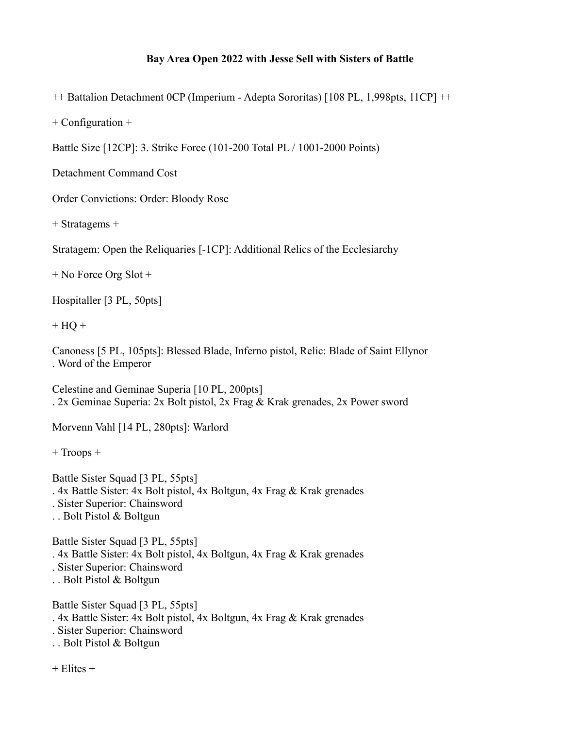## **Bay Area Open 2022 with Jesse Sell with Sisters of Battle**

++ Battalion Detachment 0CP (Imperium - Adepta Sororitas) [108 PL, 1,998pts, 11CP] ++

+ Configuration +

Battle Size [12CP]: 3. Strike Force (101-200 Total PL / 1001-2000 Points)

Detachment Command Cost

Order Convictions: Order: Bloody Rose

+ Stratagems +

Stratagem: Open the Reliquaries [-1CP]: Additional Relics of the Ecclesiarchy

+ No Force Org Slot +

Hospitaller [3 PL, 50pts]

 $+ HO +$ 

Canoness [5 PL, 105pts]: Blessed Blade, Inferno pistol, Relic: Blade of Saint Ellynor . Word of the Emperor

Celestine and Geminae Superia [10 PL, 200pts] . 2x Geminae Superia: 2x Bolt pistol, 2x Frag & Krak grenades, 2x Power sword

Morvenn Vahl [14 PL, 280pts]: Warlord

+ Troops +

Battle Sister Squad [3 PL, 55pts] . 4x Battle Sister: 4x Bolt pistol, 4x Boltgun, 4x Frag & Krak grenades . Sister Superior: Chainsword . . Bolt Pistol & Boltgun

Battle Sister Squad [3 PL, 55pts] . 4x Battle Sister: 4x Bolt pistol, 4x Boltgun, 4x Frag & Krak grenades . Sister Superior: Chainsword . . Bolt Pistol & Boltgun

Battle Sister Squad [3 PL, 55pts] . 4x Battle Sister: 4x Bolt pistol, 4x Boltgun, 4x Frag & Krak grenades . Sister Superior: Chainsword . . Bolt Pistol & Boltgun

 $+$  Elites  $+$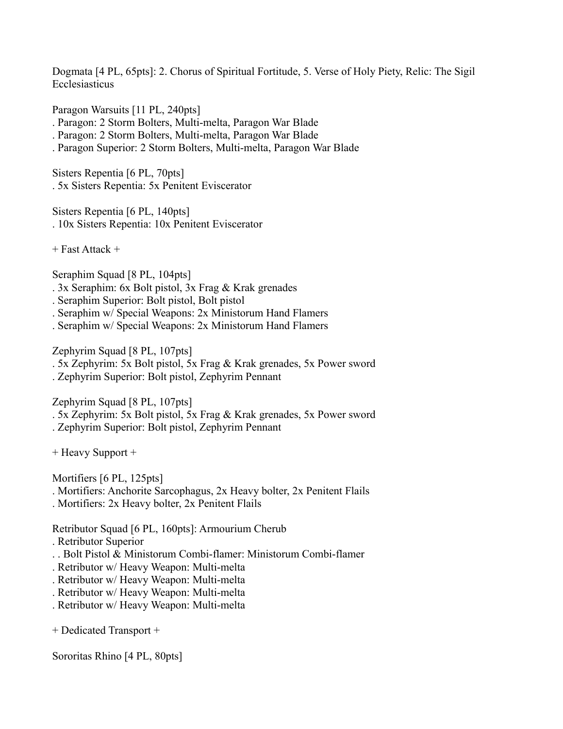Dogmata [4 PL, 65pts]: 2. Chorus of Spiritual Fortitude, 5. Verse of Holy Piety, Relic: The Sigil Ecclesiasticus

Paragon Warsuits [11 PL, 240pts]

. Paragon: 2 Storm Bolters, Multi-melta, Paragon War Blade

. Paragon: 2 Storm Bolters, Multi-melta, Paragon War Blade

. Paragon Superior: 2 Storm Bolters, Multi-melta, Paragon War Blade

Sisters Repentia [6 PL, 70pts] . 5x Sisters Repentia: 5x Penitent Eviscerator

Sisters Repentia [6 PL, 140pts] . 10x Sisters Repentia: 10x Penitent Eviscerator

+ Fast Attack +

Seraphim Squad [8 PL, 104pts]

. 3x Seraphim: 6x Bolt pistol, 3x Frag & Krak grenades

. Seraphim Superior: Bolt pistol, Bolt pistol

. Seraphim w/ Special Weapons: 2x Ministorum Hand Flamers

. Seraphim w/ Special Weapons: 2x Ministorum Hand Flamers

Zephyrim Squad [8 PL, 107pts]

. 5x Zephyrim: 5x Bolt pistol, 5x Frag & Krak grenades, 5x Power sword

. Zephyrim Superior: Bolt pistol, Zephyrim Pennant

Zephyrim Squad [8 PL, 107pts]

- . 5x Zephyrim: 5x Bolt pistol, 5x Frag & Krak grenades, 5x Power sword
- . Zephyrim Superior: Bolt pistol, Zephyrim Pennant

+ Heavy Support +

Mortifiers [6 PL, 125pts]

- . Mortifiers: Anchorite Sarcophagus, 2x Heavy bolter, 2x Penitent Flails
- . Mortifiers: 2x Heavy bolter, 2x Penitent Flails

Retributor Squad [6 PL, 160pts]: Armourium Cherub

. Retributor Superior

- . . Bolt Pistol & Ministorum Combi-flamer: Ministorum Combi-flamer
- . Retributor w/ Heavy Weapon: Multi-melta
- . Retributor w/ Heavy Weapon: Multi-melta
- . Retributor w/ Heavy Weapon: Multi-melta
- . Retributor w/ Heavy Weapon: Multi-melta

+ Dedicated Transport +

Sororitas Rhino [4 PL, 80pts]